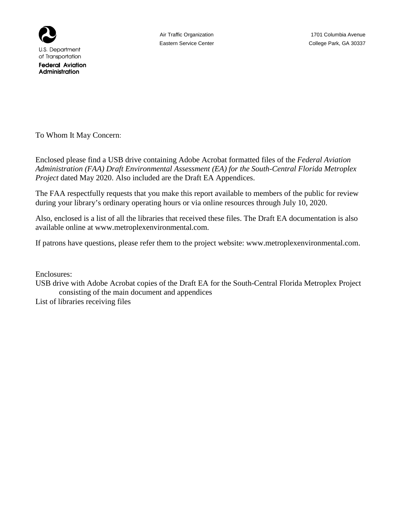

**Federal Aviation** Administration

To Whom It May Concern:

Enclosed please find a USB drive containing Adobe Acrobat formatted files of the *Federal Aviation Administration (FAA) Draft Environmental Assessment (EA) for the South-Central Florida Metroplex Project* dated May 2020. Also included are the Draft EA Appendices.

The FAA respectfully requests that you make this report available to members of the public for review during your library's ordinary operating hours or via online resources through July 10, 2020.

Also, enclosed is a list of all the libraries that received these files. The Draft EA documentation is also available online at www.metroplexenvironmental.com.

If patrons have questions, please refer them to the project website: www.metroplexenvironmental.com.

Enclosures:

USB drive with Adobe Acrobat copies of the Draft EA for the South-Central Florida Metroplex Project consisting of the main document and appendices

List of libraries receiving files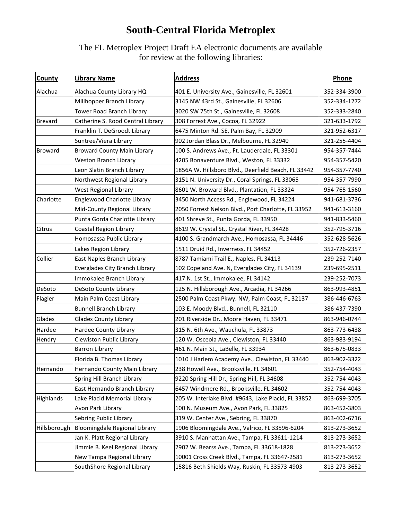## **South-Central Florida Metroplex**

The FL Metroplex Project Draft EA electronic documents are available for review at the following libraries:

| <b>County</b>  | <b>Library Name</b>                | <b>Address</b>                                      | Phone        |
|----------------|------------------------------------|-----------------------------------------------------|--------------|
| Alachua        | Alachua County Library HQ          | 401 E. University Ave., Gainesville, FL 32601       | 352-334-3900 |
|                | Millhopper Branch Library          | 3145 NW 43rd St., Gainesville, FL 32606             | 352-334-1272 |
|                | Tower Road Branch Library          | 3020 SW 75th St., Gainesville, FL 32608             | 352-333-2840 |
| Brevard        | Catherine S. Rood Central Library  | 308 Forrest Ave., Cocoa, FL 32922                   | 321-633-1792 |
|                | Franklin T. DeGroodt Library       | 6475 Minton Rd. SE, Palm Bay, FL 32909              | 321-952-6317 |
|                | Suntree/Viera Library              | 902 Jordan Blass Dr., Melbourne, FL 32940           | 321-255-4404 |
| <b>Broward</b> | <b>Broward County Main Library</b> | 100 S. Andrews Ave., Ft. Lauderdale, FL 33301       | 954-357-7444 |
|                | Weston Branch Library              | 4205 Bonaventure Blvd., Weston, FL 33332            | 954-357-5420 |
|                | Leon Slatin Branch Library         | 1856A W. Hillsboro Blvd., Deerfield Beach, FL 33442 | 954-357-7740 |
|                | Northwest Regional Library         | 3151 N. University Dr., Coral Springs, FL 33065     | 954-357-7990 |
|                | West Regional Library              | 8601 W. Broward Blvd., Plantation, FL 33324         | 954-765-1560 |
| Charlotte      | <b>Englewood Charlotte Library</b> | 3450 North Access Rd., Englewood, FL 34224          | 941-681-3736 |
|                | Mid-County Regional Library        | 2050 Forrest Nelson Blvd., Port Charlotte, FL 33952 | 941-613-3160 |
|                | Punta Gorda Charlotte Library      | 401 Shreve St., Punta Gorda, FL 33950               | 941-833-5460 |
| Citrus         | Coastal Region Library             | 8619 W. Crystal St., Crystal River, FL 34428        | 352-795-3716 |
|                | Homosassa Public Library           | 4100 S. Grandmarch Ave., Homosassa, FL 34446        | 352-628-5626 |
|                | Lakes Region Library               | 1511 Druid Rd., Inverness, FL 34452                 | 352-726-2357 |
| Collier        | East Naples Branch Library         | 8787 Tamiami Trail E., Naples, FL 34113             | 239-252-7140 |
|                | Everglades City Branch Library     | 102 Copeland Ave. N, Everglades City, FL 34139      | 239-695-2511 |
|                | Immokalee Branch Library           | 417 N. 1st St., Immokalee, FL 34142                 | 239-252-7073 |
| DeSoto         | DeSoto County Library              | 125 N. Hillsborough Ave., Arcadia, FL 34266         | 863-993-4851 |
| Flagler        | Main Palm Coast Library            | 2500 Palm Coast Pkwy. NW, Palm Coast, FL 32137      | 386-446-6763 |
|                | <b>Bunnell Branch Library</b>      | 103 E. Moody Blvd., Bunnell, FL 32110               | 386-437-7390 |
| Glades         | <b>Glades County Library</b>       | 201 Riverside Dr., Moore Haven, FL 33471            | 863-946-0744 |
| Hardee         | Hardee County Library              | 315 N. 6th Ave., Wauchula, FL 33873                 | 863-773-6438 |
| Hendry         | Clewiston Public Library           | 120 W. Osceola Ave., Clewiston, FL 33440            | 863-983-9194 |
|                | <b>Barron Library</b>              | 461 N. Main St., LaBelle, FL 33934                  | 863-675-0833 |
|                | Florida B. Thomas Library          | 1010 J Harlem Academy Ave., Clewiston, FL 33440     | 863-902-3322 |
| Hernando       | Hernando County Main Library       | 238 Howell Ave., Brooksville, FL 34601              | 352-754-4043 |
|                | Spring Hill Branch Library         | 9220 Spring Hill Dr., Spring Hill, FL 34608         | 352-754-4043 |
|                | East Hernando Branch Library       | 6457 Windmere Rd., Brooksville, FL 34602            | 352-754-4043 |
| Highlands      | Lake Placid Memorial Library       | 205 W. Interlake Blvd. #9643, Lake Placid, FL 33852 | 863-699-3705 |
|                | Avon Park Library                  | 100 N. Museum Ave., Avon Park, FL 33825             | 863-452-3803 |
|                | Sebring Public Library             | 319 W. Center Ave., Sebring, FL 33870               | 863-402-6716 |
| Hillsborough   | Bloomingdale Regional Library      | 1906 Bloomingdale Ave., Valrico, FL 33596-6204      | 813-273-3652 |
|                | Jan K. Platt Regional Library      | 3910 S. Manhattan Ave., Tampa, FL 33611-1214        | 813-273-3652 |
|                | Jimmie B. Keel Regional Library    | 2902 W. Bearss Ave., Tampa, FL 33618-1828           | 813-273-3652 |
|                | New Tampa Regional Library         | 10001 Cross Creek Blvd., Tampa, FL 33647-2581       | 813-273-3652 |
|                | SouthShore Regional Library        | 15816 Beth Shields Way, Ruskin, FL 33573-4903       | 813-273-3652 |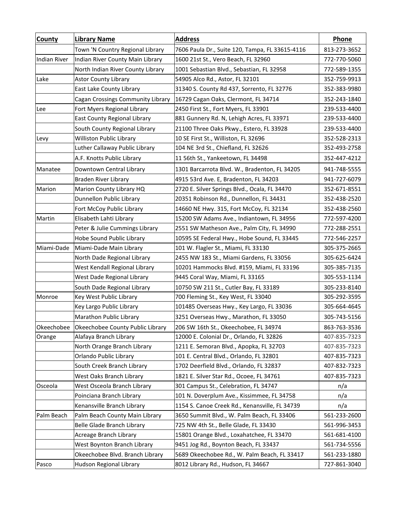| <b>County</b>       | <b>Library Name</b>               | <b>Address</b>                                  | Phone        |
|---------------------|-----------------------------------|-------------------------------------------------|--------------|
|                     | Town 'N Country Regional Library  | 7606 Paula Dr., Suite 120, Tampa, FL 33615-4116 | 813-273-3652 |
| <b>Indian River</b> | Indian River County Main Library  | 1600 21st St., Vero Beach, FL 32960             | 772-770-5060 |
|                     | North Indian River County Library | 1001 Sebastian Blvd., Sebastian, FL 32958       | 772-589-1355 |
| Lake                | <b>Astor County Library</b>       | 54905 Alco Rd., Astor, FL 32101                 | 352-759-9913 |
|                     | East Lake County Library          | 31340 S. County Rd 437, Sorrento, FL 32776      | 352-383-9980 |
|                     | Cagan Crossings Community Library | 16729 Cagan Oaks, Clermont, FL 34714            | 352-243-1840 |
| Lee                 | Fort Myers Regional Library       | 2450 First St., Fort Myers, FL 33901            | 239-533-4400 |
|                     | East County Regional Library      | 881 Gunnery Rd. N, Lehigh Acres, FL 33971       | 239-533-4400 |
|                     | South County Regional Library     | 21100 Three Oaks Pkwy., Estero, FL 33928        | 239-533-4400 |
| Levy                | Williston Public Library          | 10 SE First St., Williston, FL 32696            | 352-528-2313 |
|                     | Luther Callaway Public Library    | 104 NE 3rd St., Chiefland, FL 32626             | 352-493-2758 |
|                     | A.F. Knotts Public Library        | 11 56th St., Yankeetown, FL 34498               | 352-447-4212 |
| Manatee             | Downtown Central Library          | 1301 Barcarrota Blvd. W., Bradenton, FL 34205   | 941-748-5555 |
|                     | <b>Braden River Library</b>       | 4915 53rd Ave. E, Bradenton, FL 34203           | 941-727-6079 |
| Marion              | Marion County Library HQ          | 2720 E. Silver Springs Blvd., Ocala, FL 34470   | 352-671-8551 |
|                     | Dunnellon Public Library          | 20351 Robinson Rd., Dunnellon, FL 34431         | 352-438-2520 |
|                     | Fort McCoy Public Library         | 14660 NE Hwy. 315, Fort McCoy, FL 32134         | 352-438-2560 |
| Martin              | Elisabeth Lahti Library           | 15200 SW Adams Ave., Indiantown, FL 34956       | 772-597-4200 |
|                     | Peter & Julie Cummings Library    | 2551 SW Matheson Ave., Palm City, FL 34990      | 772-288-2551 |
|                     | Hobe Sound Public Library         | 10595 SE Federal Hwy., Hobe Sound, FL 33445     | 772-546-2257 |
| Miami-Dade          | Miami-Dade Main Library           | 101 W. Flagler St., Miami, FL 33130             | 305-375-2665 |
|                     | North Dade Regional Library       | 2455 NW 183 St., Miami Gardens, FL 33056        | 305-625-6424 |
|                     | West Kendall Regional Library     | 10201 Hammocks Blvd. #159, Miami, FL 33196      | 305-385-7135 |
|                     | West Dade Regional Library        | 9445 Coral Way, Miami, FL 33165                 | 305-553-1134 |
|                     | South Dade Regional Library       | 10750 SW 211 St., Cutler Bay, FL 33189          | 305-233-8140 |
| Monroe              | Key West Public Library           | 700 Fleming St., Key West, FL 33040             | 305-292-3595 |
|                     | Key Largo Public Library          | 101485 Overseas Hwy., Key Largo, FL 33036       | 305-664-4645 |
|                     | Marathon Public Library           | 3251 Overseas Hwy., Marathon, FL 33050          | 305-743-5156 |
| Okeechobee          | Okeechobee County Public Library  | 206 SW 16th St., Okeechobee, FL 34974           | 863-763-3536 |
| Orange              | Alafaya Branch Library            | 12000 E. Colonial Dr., Orlando, FL 32826        | 407-835-7323 |
|                     | North Orange Branch Library       | 1211 E. Semoran Blvd., Apopka, FL 32703         | 407-835-7323 |
|                     | Orlando Public Library            | 101 E. Central Blvd., Orlando, FL 32801         | 407-835-7323 |
|                     | South Creek Branch Library        | 1702 Deerfield Blvd., Orlando, FL 32837         | 407-832-7323 |
|                     | West Oaks Branch Library          | 1821 E. Silver Star Rd., Ocoee, FL 34761        | 407-835-7323 |
| Osceola             | West Osceola Branch Library       | 301 Campus St., Celebration, FL 34747           | n/a          |
|                     | Poinciana Branch Library          | 101 N. Doverplum Ave., Kissimmee, FL 34758      | n/a          |
|                     | Kenansville Branch Library        | 1154 S. Canoe Creek Rd., Kenansville, FL 34739  | n/a          |
| Palm Beach          | Palm Beach County Main Library    | 3650 Summit Blvd., W. Palm Beach, FL 33406      | 561-233-2600 |
|                     | Belle Glade Branch Library        | 725 NW 4th St., Belle Glade, FL 33430           | 561-996-3453 |
|                     | Acreage Branch Library            | 15801 Orange Blvd., Loxahatchee, FL 33470       | 561-681-4100 |
|                     | West Boynton Branch Library       | 9451 Jog Rd., Boynton Beach, FL 33437           | 561-734-5556 |
|                     | Okeechobee Blvd. Branch Library   | 5689 Okeechobee Rd., W. Palm Beach, FL 33417    | 561-233-1880 |
| Pasco               | Hudson Regional Library           | 8012 Library Rd., Hudson, FL 34667              | 727-861-3040 |